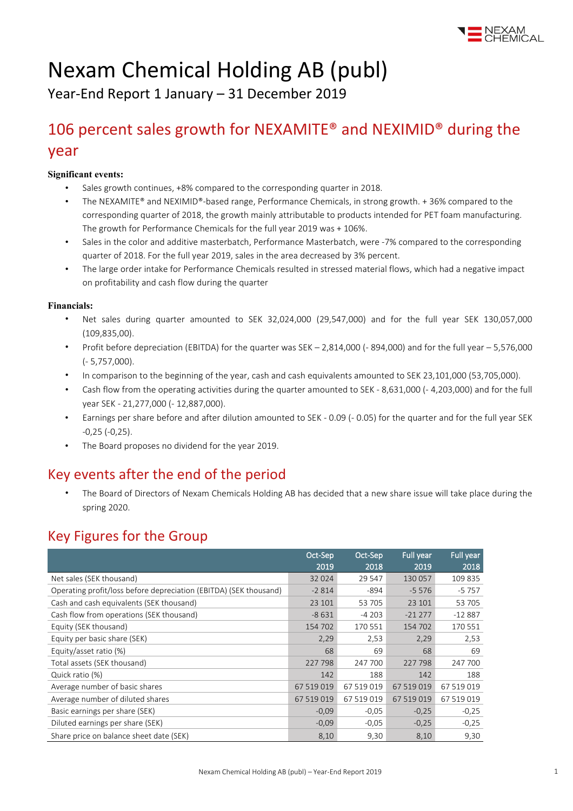

# Nexam Chemical Holding AB (publ)

Year-End Report 1 January – 31 December 2019

### 106 percent sales growth for NEXAMITE® and NEXIMID® during the year

#### **Significant events:**

- Sales growth continues, +8% compared to the corresponding quarter in 2018.
- The NEXAMITE® and NEXIMID®-based range, Performance Chemicals, in strong growth. + 36% compared to the corresponding quarter of 2018, the growth mainly attributable to products intended for PET foam manufacturing. The growth for Performance Chemicals for the full year 2019 was + 106%.
- Sales in the color and additive masterbatch, Performance Masterbatch, were -7% compared to the corresponding quarter of 2018. For the full year 2019, sales in the area decreased by 3% percent.
- The large order intake for Performance Chemicals resulted in stressed material flows, which had a negative impact on profitability and cash flow during the quarter

#### **Financials:**

- Net sales during quarter amounted to SEK 32,024,000 (29,547,000) and for the full year SEK 130,057,000 (109,835,00).
- Profit before depreciation (EBITDA) for the quarter was SEK 2,814,000 (- 894,000) and for the full year 5,576,000 (- 5,757,000).
- In comparison to the beginning of the year, cash and cash equivalents amounted to SEK 23,101,000 (53,705,000).
- Cash flow from the operating activities during the quarter amounted to SEK 8,631,000 (- 4,203,000) and for the full year SEK - 21,277,000 (- 12,887,000).
- Earnings per share before and after dilution amounted to SEK 0.09 (- 0.05) for the quarter and for the full year SEK -0,25 (-0,25).
- The Board proposes no dividend for the year 2019.

### Key events after the end of the period

• The Board of Directors of Nexam Chemicals Holding AB has decided that a new share issue will take place during the spring 2020.

### Key Figures for the Group

|                                                                   | Oct-Sep    | Oct-Sep    | Full year  | Full year  |
|-------------------------------------------------------------------|------------|------------|------------|------------|
|                                                                   | 2019       | 2018       | 2019       | 2018       |
| Net sales (SEK thousand)                                          | 32 0 24    | 29 5 47    | 130 057    | 109 835    |
| Operating profit/loss before depreciation (EBITDA) (SEK thousand) | $-2814$    | -894       | $-5576$    | $-5757$    |
| Cash and cash equivalents (SEK thousand)                          | 23 101     | 53 705     | 23 101     | 53 705     |
| Cash flow from operations (SEK thousand)                          | $-8631$    | $-4203$    | $-21277$   | $-12887$   |
| Equity (SEK thousand)                                             | 154 702    | 170 551    | 154 702    | 170 551    |
| Equity per basic share (SEK)                                      | 2,29       | 2,53       | 2,29       | 2,53       |
| Equity/asset ratio (%)                                            | 68         | 69         | 68         | 69         |
| Total assets (SEK thousand)                                       | 227 798    | 247 700    | 227 798    | 247 700    |
| Quick ratio (%)                                                   | 142        | 188        | 142        | 188        |
| Average number of basic shares                                    | 67 519 019 | 67 519 019 | 67 519 019 | 67 519 019 |
| Average number of diluted shares                                  | 67 519 019 | 67 519 019 | 67 519 019 | 67 519 019 |
| Basic earnings per share (SEK)                                    | $-0.09$    | $-0.05$    | $-0,25$    | $-0,25$    |
| Diluted earnings per share (SEK)                                  | $-0.09$    | $-0.05$    | $-0,25$    | $-0,25$    |
| Share price on balance sheet date (SEK)                           | 8,10       | 9,30       | 8,10       | 9,30       |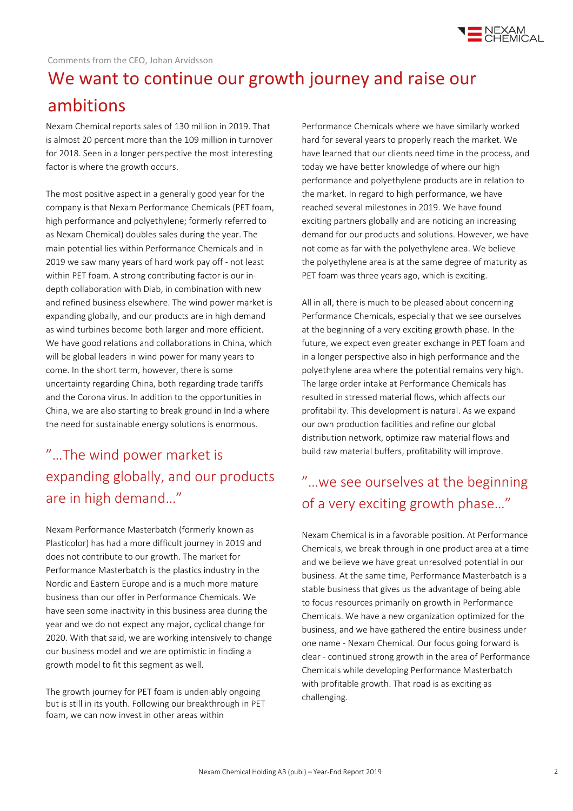

## We want to continue our growth journey and raise our ambitions

Nexam Chemical reports sales of 130 million in 2019. That is almost 20 percent more than the 109 million in turnover for 2018. Seen in a longer perspective the most interesting factor is where the growth occurs.

The most positive aspect in a generally good year for the company is that Nexam Performance Chemicals (PET foam, high performance and polyethylene; formerly referred to as Nexam Chemical) doubles sales during the year. The main potential lies within Performance Chemicals and in 2019 we saw many years of hard work pay off - not least within PET foam. A strong contributing factor is our indepth collaboration with Diab, in combination with new and refined business elsewhere. The wind power market is expanding globally, and our products are in high demand as wind turbines become both larger and more efficient. We have good relations and collaborations in China, which will be global leaders in wind power for many years to come. In the short term, however, there is some uncertainty regarding China, both regarding trade tariffs and the Corona virus. In addition to the opportunities in China, we are also starting to break ground in India where the need for sustainable energy solutions is enormous.

### "…The wind power market is expanding globally, and our products are in high demand…"

Nexam Performance Masterbatch (formerly known as Plasticolor) has had a more difficult journey in 2019 and does not contribute to our growth. The market for Performance Masterbatch is the plastics industry in the Nordic and Eastern Europe and is a much more mature business than our offer in Performance Chemicals. We have seen some inactivity in this business area during the year and we do not expect any major, cyclical change for 2020. With that said, we are working intensively to change our business model and we are optimistic in finding a growth model to fit this segment as well.

The growth journey for PET foam is undeniably ongoing but is still in its youth. Following our breakthrough in PET foam, we can now invest in other areas within

Performance Chemicals where we have similarly worked hard for several years to properly reach the market. We have learned that our clients need time in the process, and today we have better knowledge of where our high performance and polyethylene products are in relation to the market. In regard to high performance, we have reached several milestones in 2019. We have found exciting partners globally and are noticing an increasing demand for our products and solutions. However, we have not come as far with the polyethylene area. We believe the polyethylene area is at the same degree of maturity as PET foam was three years ago, which is exciting.

All in all, there is much to be pleased about concerning Performance Chemicals, especially that we see ourselves at the beginning of a very exciting growth phase. In the future, we expect even greater exchange in PET foam and in a longer perspective also in high performance and the polyethylene area where the potential remains very high. The large order intake at Performance Chemicals has resulted in stressed material flows, which affects our profitability. This development is natural. As we expand our own production facilities and refine our global distribution network, optimize raw material flows and build raw material buffers, profitability will improve.

### "…we see ourselves at the beginning of a very exciting growth phase…"

Nexam Chemical is in a favorable position. At Performance Chemicals, we break through in one product area at a time and we believe we have great unresolved potential in our business. At the same time, Performance Masterbatch is a stable business that gives us the advantage of being able to focus resources primarily on growth in Performance Chemicals. We have a new organization optimized for the business, and we have gathered the entire business under one name - Nexam Chemical. Our focus going forward is clear - continued strong growth in the area of Performance Chemicals while developing Performance Masterbatch with profitable growth. That road is as exciting as challenging.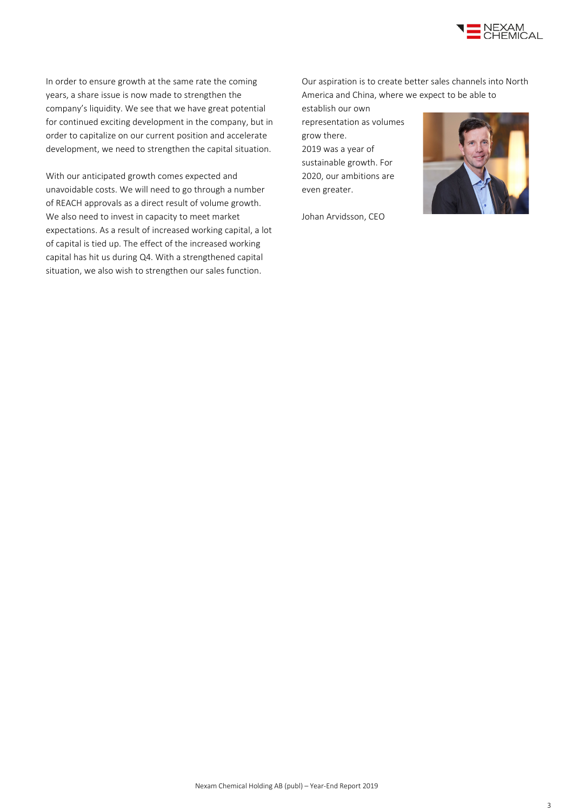

In order to ensure growth at the same rate the coming years, a share issue is now made to strengthen the company's liquidity. We see that we have great potential for continued exciting development in the company, but in order to capitalize on our current position and accelerate development, we need to strengthen the capital situation.

With our anticipated growth comes expected and unavoidable costs. We will need to go through a number of REACH approvals as a direct result of volume growth. We also need to invest in capacity to meet market expectations. As a result of increased working capital, a lot of capital is tied up. The effect of the increased working capital has hit us during Q4. With a strengthened capital situation, we also wish to strengthen our sales function.

Our aspiration is to create better sales channels into North America and China, where we expect to be able to

establish our own representation as volumes grow there. 2019 was a year of sustainable growth. For 2020, our ambitions are even greater.

Johan Arvidsson, CEO

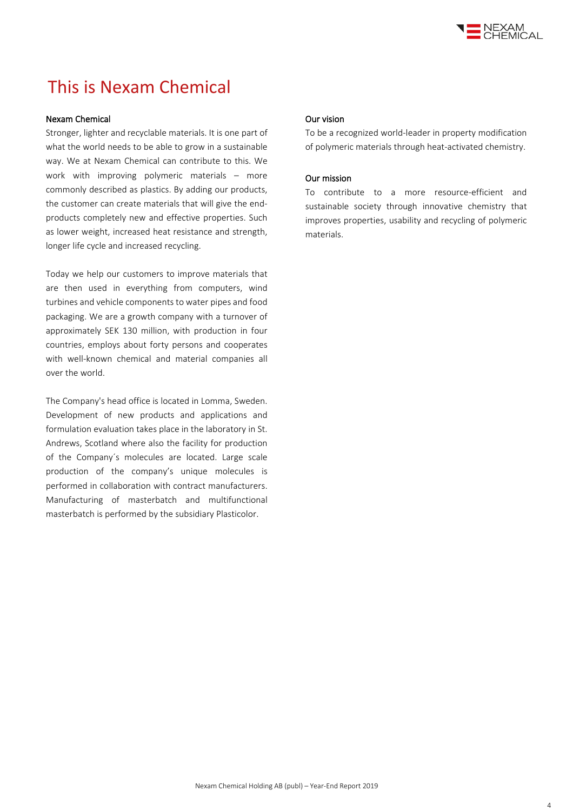

## This is Nexam Chemical

#### Nexam Chemical

Stronger, lighter and recyclable materials. It is one part of what the world needs to be able to grow in a sustainable way. We at Nexam Chemical can contribute to this. We work with improving polymeric materials – more commonly described as plastics. By adding our products, the customer can create materials that will give the endproducts completely new and effective properties. Such as lower weight, increased heat resistance and strength, longer life cycle and increased recycling.

Today we help our customers to improve materials that are then used in everything from computers, wind turbines and vehicle components to water pipes and food packaging. We are a growth company with a turnover of approximately SEK 130 million, with production in four countries, employs about forty persons and cooperates with well-known chemical and material companies all over the world.

The Company's head office is located in Lomma, Sweden. Development of new products and applications and formulation evaluation takes place in the laboratory in St. Andrews, Scotland where also the facility for production of the Company´s molecules are located. Large scale production of the company's unique molecules is performed in collaboration with contract manufacturers. Manufacturing of masterbatch and multifunctional masterbatch is performed by the subsidiary Plasticolor.

#### Our vision

To be a recognized world-leader in property modification of polymeric materials through heat-activated chemistry.

#### Our mission

To contribute to a more resource-efficient and sustainable society through innovative chemistry that improves properties, usability and recycling of polymeric materials.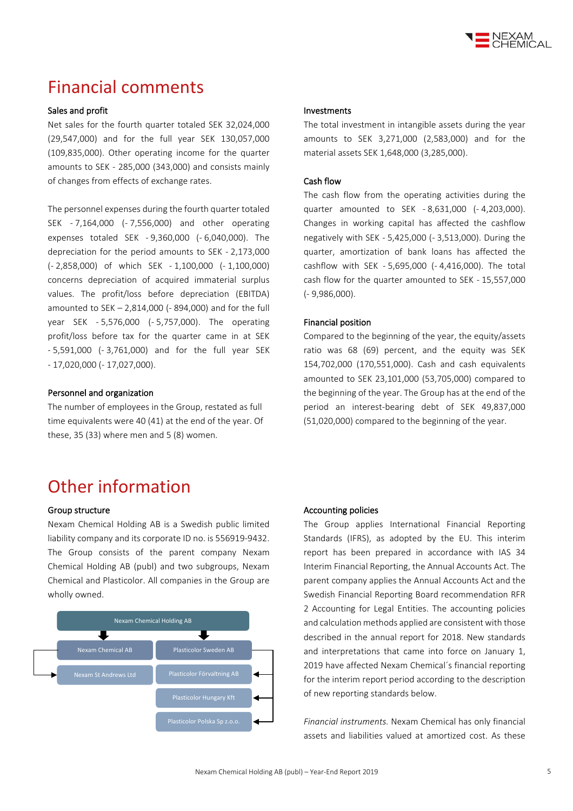

### Financial comments

#### Sales and profit

Net sales for the fourth quarter totaled SEK 32,024,000 (29,547,000) and for the full year SEK 130,057,000 (109,835,000). Other operating income for the quarter amounts to SEK - 285,000 (343,000) and consists mainly of changes from effects of exchange rates.

The personnel expenses during the fourth quarter totaled SEK - 7,164,000 (- 7,556,000) and other operating expenses totaled SEK - 9,360,000 (- 6,040,000). The depreciation for the period amounts to SEK - 2,173,000 (- 2,858,000) of which SEK - 1,100,000 (- 1,100,000) concerns depreciation of acquired immaterial surplus values. The profit/loss before depreciation (EBITDA) amounted to SEK – 2,814,000 (- 894,000) and for the full year SEK - 5,576,000 (- 5,757,000). The operating profit/loss before tax for the quarter came in at SEK - 5,591,000 (- 3,761,000) and for the full year SEK - 17,020,000 (- 17,027,000).

#### Personnel and organization

The number of employees in the Group, restated as full time equivalents were 40 (41) at the end of the year. Of these, 35 (33) where men and 5 (8) women.

#### Investments

The total investment in intangible assets during the year amounts to SEK 3,271,000 (2,583,000) and for the material assets SEK 1,648,000 (3,285,000).

#### Cash flow

The cash flow from the operating activities during the quarter amounted to SEK - 8,631,000 (- 4,203,000). Changes in working capital has affected the cashflow negatively with SEK - 5,425,000 (- 3,513,000). During the quarter, amortization of bank loans has affected the cashflow with SEK - 5,695,000 (- 4,416,000). The total cash flow for the quarter amounted to SEK - 15,557,000 (- 9,986,000).

#### Financial position

Compared to the beginning of the year, the equity/assets ratio was 68 (69) percent, and the equity was SEK 154,702,000 (170,551,000). Cash and cash equivalents amounted to SEK 23,101,000 (53,705,000) compared to the beginning of the year. The Group has at the end of the period an interest-bearing debt of SEK 49,837,000 (51,020,000) compared to the beginning of the year.

### Other information

#### Group structure

Nexam Chemical Holding AB is a Swedish public limited liability company and its corporate ID no. is 556919-9432. The Group consists of the parent company Nexam Chemical Holding AB (publ) and two subgroups, Nexam Chemical and Plasticolor. All companies in the Group are wholly owned.



#### Accounting policies

The Group applies International Financial Reporting Standards (IFRS), as adopted by the EU. This interim report has been prepared in accordance with IAS 34 Interim Financial Reporting, the Annual Accounts Act. The parent company applies the Annual Accounts Act and the Swedish Financial Reporting Board recommendation RFR 2 Accounting for Legal Entities. The accounting policies and calculation methods applied are consistent with those described in the annual report for 2018. New standards and interpretations that came into force on January 1, 2019 have affected Nexam Chemical´s financial reporting for the interim report period according to the description of new reporting standards below.

*Financial instruments.* Nexam Chemical has only financial assets and liabilities valued at amortized cost. As these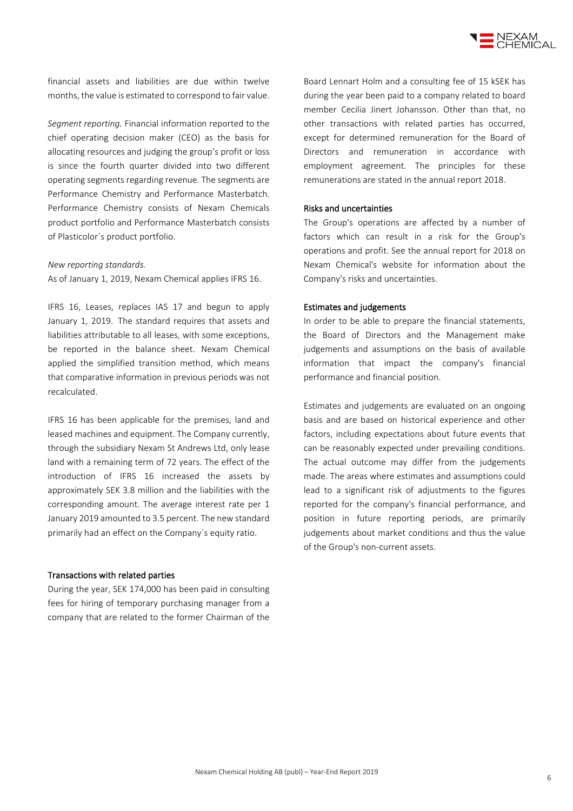

financial assets and liabilities are due within twelve months, the value is estimated to correspond to fair value.

*Segment reporting.* Financial information reported to the chief operating decision maker (CEO) as the basis for allocating resources and judging the group's profit or loss is since the fourth quarter divided into two different operating segments regarding revenue. The segments are Performance Chemistry and Performance Masterbatch. Performance Chemistry consists of Nexam Chemicals product portfolio and Performance Masterbatch consists of Plasticolor´s product portfolio.

#### *New reporting standards.*

As of January 1, 2019, Nexam Chemical applies IFRS 16.

IFRS 16, Leases, replaces IAS 17 and begun to apply January 1, 2019. The standard requires that assets and liabilities attributable to all leases, with some exceptions, be reported in the balance sheet. Nexam Chemical applied the simplified transition method, which means that comparative information in previous periods was not recalculated.

IFRS 16 has been applicable for the premises, land and leased machines and equipment. The Company currently, through the subsidiary Nexam St Andrews Ltd, only lease land with a remaining term of 72 years. The effect of the introduction of IFRS 16 increased the assets by approximately SEK 3.8 million and the liabilities with the corresponding amount. The average interest rate per 1 January 2019 amounted to 3.5 percent. The new standard primarily had an effect on the Company´s equity ratio.

#### Transactions with related parties

During the year, SEK 174,000 has been paid in consulting fees for hiring of temporary purchasing manager from a company that are related to the former Chairman of the Board Lennart Holm and a consulting fee of 15 kSEK has during the year been paid to a company related to board member Cecilia Jinert Johansson. Other than that, no other transactions with related parties has occurred, except for determined remuneration for the Board of Directors and remuneration in accordance with employment agreement. The principles for these remunerations are stated in the annual report 2018.

#### Risks and uncertainties

The Group's operations are affected by a number of factors which can result in a risk for the Group's operations and profit. See the annual report for 2018 on Nexam Chemical's website for information about the Company's risks and uncertainties.

#### Estimates and judgements

In order to be able to prepare the financial statements, the Board of Directors and the Management make judgements and assumptions on the basis of available information that impact the company's financial performance and financial position.

Estimates and judgements are evaluated on an ongoing basis and are based on historical experience and other factors, including expectations about future events that can be reasonably expected under prevailing conditions. The actual outcome may differ from the judgements made. The areas where estimates and assumptions could lead to a significant risk of adjustments to the figures reported for the company's financial performance, and position in future reporting periods, are primarily judgements about market conditions and thus the value of the Group's non-current assets.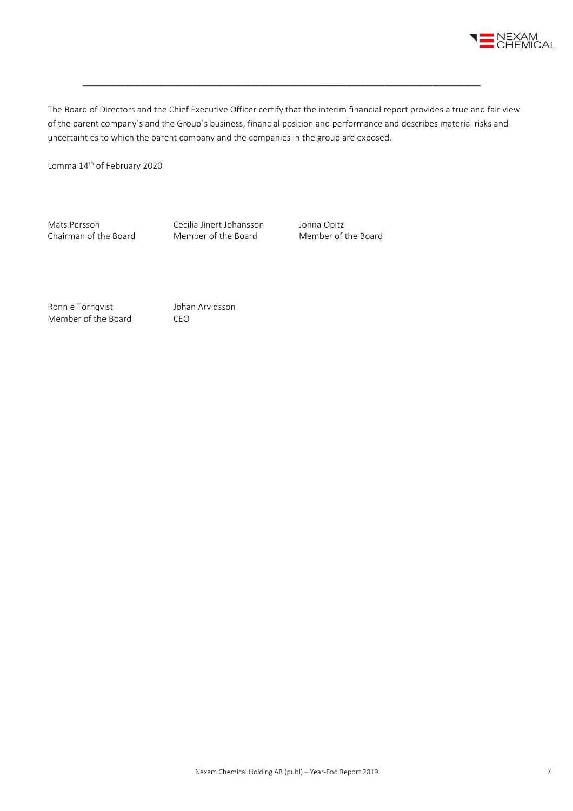

The Board of Directors and the Chief Executive Officer certify that the interim financial report provides a true and fair view of the parent company´s and the Group´s business, financial position and performance and describes material risks and uncertainties to which the parent company and the companies in the group are exposed.

\_\_\_\_\_\_\_\_\_\_\_\_\_\_\_\_\_\_\_\_\_\_\_\_\_\_\_\_\_\_\_\_\_\_\_\_\_\_\_\_\_\_\_\_\_\_\_\_\_\_\_\_\_\_\_\_\_\_\_\_\_\_\_\_\_\_\_\_\_\_\_\_\_\_\_\_\_\_\_\_\_\_\_

Lomma 14th of February 2020

Mats Persson Cecilia Jinert Johansson Jonna Opitz<br>
Chairman of the Board Member of the Board Member of the Board Chairman of the Board

Ronnie Törnqvist Johan Arvidsson Member of the Board CEO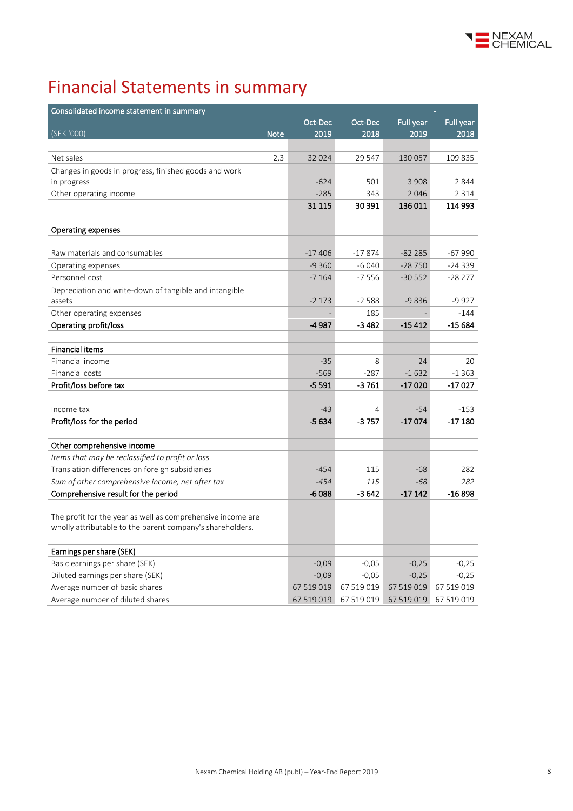# Financial Statements in summary

| Consolidated income statement in summary                    |            |            |                  |            |
|-------------------------------------------------------------|------------|------------|------------------|------------|
|                                                             | Oct-Dec    | Oct-Dec    | <b>Full year</b> | Full year  |
| (SEK '000)<br><b>Note</b>                                   | 2019       | 2018       | 2019             | 2018       |
|                                                             |            |            |                  |            |
| Net sales<br>2,3                                            | 32 0 24    | 29 547     | 130 057          | 109 835    |
| Changes in goods in progress, finished goods and work       |            |            |                  |            |
| in progress                                                 | $-624$     | 501        | 3 9 0 8          | 2844       |
| Other operating income                                      | $-285$     | 343        | 2046             | 2 3 1 4    |
|                                                             | 31 1 15    | 30 391     | 136 011          | 114 993    |
|                                                             |            |            |                  |            |
| <b>Operating expenses</b>                                   |            |            |                  |            |
| Raw materials and consumables                               | $-17406$   | $-17874$   | $-82285$         | $-67990$   |
| Operating expenses                                          | $-9360$    | $-6040$    | $-28750$         | $-24339$   |
| Personnel cost                                              | $-7164$    | $-7556$    | $-30552$         | $-28277$   |
| Depreciation and write-down of tangible and intangible      |            |            |                  |            |
| assets                                                      | $-2173$    | $-2588$    | $-9836$          | $-9927$    |
| Other operating expenses                                    |            | 185        |                  | $-144$     |
| Operating profit/loss                                       | -4987      | -3482      | -15 412          | -15 684    |
|                                                             |            |            |                  |            |
| <b>Financial items</b>                                      |            |            |                  |            |
| Financial income                                            | $-35$      | 8          | 24               | 20         |
| Financial costs                                             | $-569$     | $-287$     | $-1632$          | $-1363$    |
| Profit/loss before tax                                      | $-5591$    | -3761      | -17020           | $-17027$   |
|                                                             |            |            |                  |            |
| Income tax                                                  | $-43$      | 4          | $-54$            | $-153$     |
| Profit/loss for the period                                  | $-5634$    | -3 757     | $-17074$         | $-17180$   |
| Other comprehensive income                                  |            |            |                  |            |
| Items that may be reclassified to profit or loss            |            |            |                  |            |
| Translation differences on foreign subsidiaries             | $-454$     | 115        | $-68$            | 282        |
| Sum of other comprehensive income, net after tax            | $-454$     | 115        | $-68$            | 282        |
| Comprehensive result for the period                         | $-6088$    | $-3642$    | $-17142$         | $-16898$   |
|                                                             |            |            |                  |            |
| The profit for the year as well as comprehensive income are |            |            |                  |            |
| wholly attributable to the parent company's shareholders.   |            |            |                  |            |
|                                                             |            |            |                  |            |
| Earnings per share (SEK)                                    |            |            |                  |            |
| Basic earnings per share (SEK)                              | $-0,09$    | $-0,05$    | $-0,25$          | $-0,25$    |
| Diluted earnings per share (SEK)                            | $-0,09$    | $-0,05$    | $-0,25$          | $-0,25$    |
| Average number of basic shares                              | 67 519 019 | 67 519 019 | 67 519 019       | 67 519 019 |
| Average number of diluted shares                            | 67 519 019 | 67 519 019 | 67 519 019       | 67 519 019 |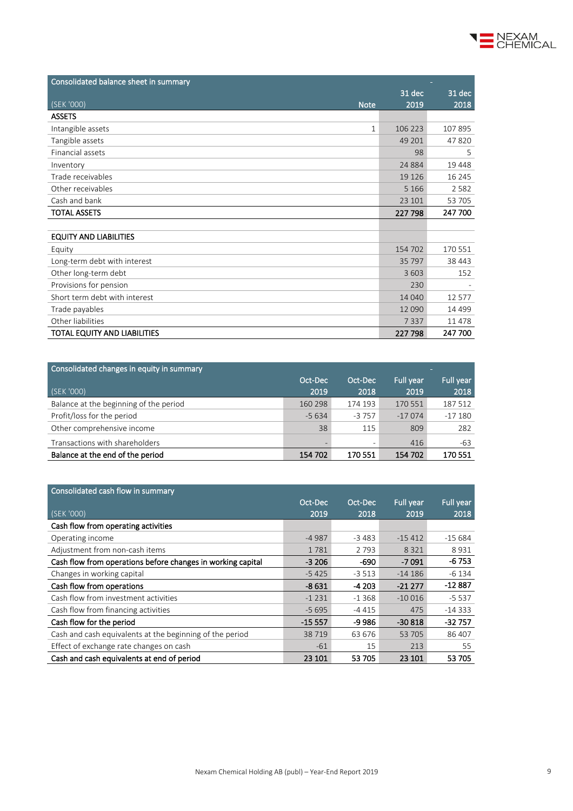

| Consolidated balance sheet in summary |             |         |          |
|---------------------------------------|-------------|---------|----------|
|                                       |             | 31 dec  | 31 dec   |
| (SEK '000)                            | <b>Note</b> | 2019    | 2018     |
| <b>ASSETS</b>                         |             |         |          |
| Intangible assets                     | 1           | 106 223 | 107 895  |
| Tangible assets                       |             | 49 201  | 47820    |
| Financial assets                      |             | 98      | 5        |
| Inventory                             |             | 24 8 84 | 19 4 48  |
| Trade receivables                     |             | 19 1 26 | 16 245   |
| Other receivables                     |             | 5 1 6 6 | 2582     |
| Cash and bank                         |             | 23 101  | 53 705   |
| <b>TOTAL ASSETS</b>                   |             | 227 798 | 247 700  |
|                                       |             |         |          |
| <b>EQUITY AND LIABILITIES</b>         |             |         |          |
| Equity                                |             | 154 702 | 170551   |
| Long-term debt with interest          |             | 35 7 97 | 38 4 43  |
| Other long-term debt                  |             | 3 6 0 3 | 152      |
| Provisions for pension                |             | 230     |          |
| Short term debt with interest         |             | 14 040  | 12 5 7 7 |
| Trade payables                        |             | 12 0 90 | 14 4 9 9 |
| Other liabilities                     |             | 7337    | 11 4 7 8 |
| TOTAL EQUITY AND LIABILITIES          |             | 227 798 | 247 700  |

| Consolidated changes in equity in summary |         |                          |           |           |  |  |  |
|-------------------------------------------|---------|--------------------------|-----------|-----------|--|--|--|
|                                           | Oct-Dec | Oct-Dec                  | Full year | Full year |  |  |  |
| (SEK '000)                                | 2019    | 2018                     | 2019      | 2018      |  |  |  |
| Balance at the beginning of the period    | 160 298 | 174 193                  | 170551    | 187 512   |  |  |  |
| Profit/loss for the period                | $-5634$ | $-3757$                  | $-17074$  | $-17180$  |  |  |  |
| Other comprehensive income                | 38      | 115                      | 809       | 282       |  |  |  |
| Transactions with shareholders            |         | $\overline{\phantom{a}}$ | 416       | -63       |  |  |  |
| Balance at the end of the period          | 154 702 | 170551                   | 154 702   | 170 551   |  |  |  |

| Consolidated cash flow in summary                           |          |          |                  |           |
|-------------------------------------------------------------|----------|----------|------------------|-----------|
|                                                             | Oct-Dec  | Oct-Dec  | <b>Full year</b> | Full year |
| (SEK '000)                                                  | 2019     | 2018     | 2019             | 2018      |
| Cash flow from operating activities                         |          |          |                  |           |
| Operating income                                            | $-4987$  | -3 483   | $-15412$         | $-15684$  |
| Adjustment from non-cash items                              | 1781     | 2793     | 8 3 2 1          | 8931      |
| Cash flow from operations before changes in working capital | $-3206$  | -690     | $-7091$          | $-6753$   |
| Changes in working capital                                  | $-5425$  | $-3513$  | $-14186$         | $-6$ 134  |
| Cash flow from operations                                   | $-8631$  | -4 203   | $-21277$         | -12887    |
| Cash flow from investment activities                        | $-1231$  | $-1.368$ | $-10016$         | $-5537$   |
| Cash flow from financing activities                         | $-5695$  | -4 415   | 475              | $-14333$  |
| Cash flow for the period                                    | $-15557$ | -9 986   | $-30818$         | -32 757   |
| Cash and cash equivalents at the beginning of the period    | 38719    | 63 676   | 53 705           | 86 407    |
| Effect of exchange rate changes on cash                     | $-61$    | 15       | 213              | 55        |
| Cash and cash equivalents at end of period                  | 23 101   | 53 705   | 23 101           | 53 705    |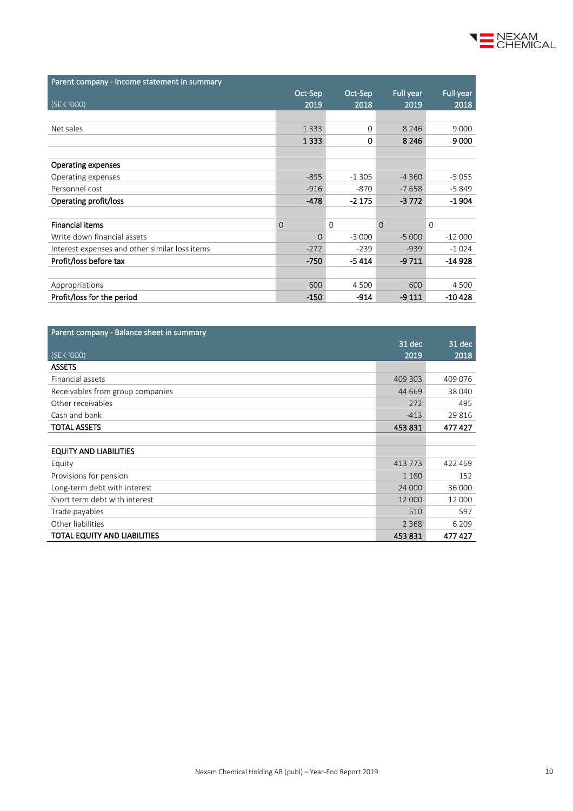

| Parent company - Income statement in summary   |                 |          |           |           |  |  |         |
|------------------------------------------------|-----------------|----------|-----------|-----------|--|--|---------|
|                                                | Oct-Sep         | Oct-Sep  | Full year | Full year |  |  |         |
| (SEK '000)                                     | 2019            | 2018     | 2019      | 2018      |  |  |         |
|                                                |                 |          |           |           |  |  |         |
| Net sales                                      | 1 3 3 3         | $\Omega$ | 8 2 4 6   | 9 0 0 0   |  |  |         |
|                                                | 1 3 3 3         | $\Omega$ | 8 2 4 6   | 9 0 0 0   |  |  |         |
|                                                |                 |          |           |           |  |  |         |
| Operating expenses                             |                 |          |           |           |  |  |         |
| Operating expenses                             | $-895$          | $-1305$  | $-4360$   | $-5055$   |  |  |         |
| Personnel cost                                 | $-916$          | $-870$   | $-7658$   | $-5849$   |  |  |         |
| Operating profit/loss                          | $-478$          | $-2175$  |           | $-3772$   |  |  | $-1904$ |
|                                                |                 |          |           |           |  |  |         |
| <b>Financial items</b>                         | $\Omega$        | $\Omega$ | $\Omega$  | $\Omega$  |  |  |         |
| Write down financial assets                    | $\Omega$        | $-3000$  | $-5000$   | $-12000$  |  |  |         |
| Interest expenses and other similar loss items | $-272$          | $-239$   | $-939$    | $-1024$   |  |  |         |
| Profit/loss before tax                         | $-750$<br>-5414 |          | $-9711$   | $-14928$  |  |  |         |
|                                                |                 |          |           |           |  |  |         |
| Appropriations                                 | 600             | 4 5 0 0  | 600       | 4 5 0 0   |  |  |         |
| Profit/loss for the period                     | $-150$          | $-914$   | $-9111$   | $-10428$  |  |  |         |

| Parent company - Balance sheet in summary |         |         |
|-------------------------------------------|---------|---------|
|                                           | 31 dec  | 31 dec  |
| (SEK '000)                                | 2019    | 2018    |
| <b>ASSETS</b>                             |         |         |
| Financial assets                          | 409 303 | 409 076 |
| Receivables from group companies          | 44 6 69 | 38 040  |
| Other receivables                         | 272     | 495     |
| Cash and bank                             | $-413$  | 29 8 16 |
| <b>TOTAL ASSETS</b>                       | 453 831 | 477427  |
|                                           |         |         |
| <b>EQUITY AND LIABILITIES</b>             |         |         |
| Equity                                    | 413 773 | 422 469 |
| Provisions for pension                    | 1 1 8 0 | 152     |
| Long-term debt with interest              | 24 000  | 36 000  |
| Short term debt with interest             | 12 000  | 12 000  |
| Trade payables                            | 510     | 597     |
| Other liabilities                         | 2 3 6 8 | 6 2 0 9 |
| TOTAL EQUITY AND LIABILITIES              | 453831  | 477427  |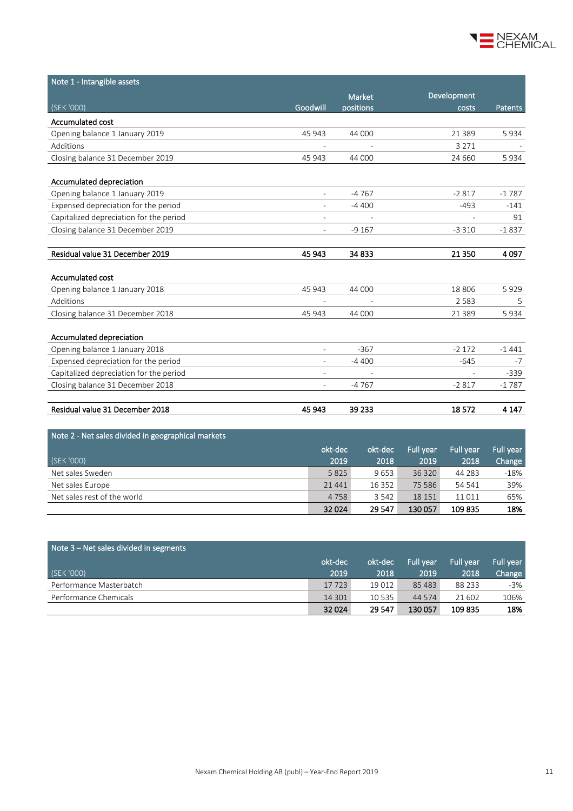

| Note 1 - Intangible assets                         |                          |               |             |                |
|----------------------------------------------------|--------------------------|---------------|-------------|----------------|
|                                                    |                          | <b>Market</b> | Development |                |
| (SEK'000)                                          | Goodwill                 | positions     | costs       | <b>Patents</b> |
| <b>Accumulated cost</b>                            |                          |               |             |                |
| Opening balance 1 January 2019                     | 45 943                   | 44 000        | 21 3 8 9    | 5934           |
| Additions                                          | $\sim$                   | ٠             | 3 2 7 1     |                |
| Closing balance 31 December 2019                   | 45 943                   | 44 000        | 24 660      | 5934           |
| Accumulated depreciation                           |                          |               |             |                |
| Opening balance 1 January 2019                     | $\overline{a}$           | $-4767$       | $-2817$     | $-1787$        |
| Expensed depreciation for the period               | $\overline{\phantom{a}}$ | $-4400$       | $-493$      | $-141$         |
| Capitalized depreciation for the period            |                          |               |             | 91             |
| Closing balance 31 December 2019                   | $\sim$                   | $-9167$       | $-3310$     | $-1837$        |
| Residual value 31 December 2019                    | 45 943                   | 34 833        | 21 3 50     | 4097           |
| <b>Accumulated cost</b>                            |                          |               |             |                |
| Opening balance 1 January 2018                     | 45 943                   | 44 000        | 18 806      | 5929           |
| Additions                                          |                          |               | 2583        | 5              |
| Closing balance 31 December 2018                   | 45 943                   | 44 000        | 21 3 8 9    | 5934           |
| Accumulated depreciation                           |                          |               |             |                |
| Opening balance 1 January 2018                     | $\sim$                   | $-367$        | $-2172$     | $-1441$        |
| Expensed depreciation for the period               | $\overline{\phantom{a}}$ | $-4400$       | $-645$      | $-7$           |
| Capitalized depreciation for the period            | $\sim$                   |               | L,          | $-339$         |
| Closing balance 31 December 2018                   | $\overline{\phantom{a}}$ | $-4767$       | $-2817$     | $-1787$        |
| Residual value 31 December 2018                    | 45 943                   | 39 233        | 18572       | 4 1 4 7        |
| Note 2 - Net sales divided in geographical markets |                          |               |             |                |

|                             | okt-dec  | okt-dec | Full year | Full year | Full year |
|-----------------------------|----------|---------|-----------|-----------|-----------|
| (SEK '000)                  | 2019     | 2018    | 2019      | 2018      | Change    |
| Net sales Sweden            | 5 8 2 5  | 9653    | 36 320    | 44 283    | $-18%$    |
| Net sales Europe            | 21 4 4 1 | 16 352  | 75 5 86   | 54 541    | 39%       |
| Net sales rest of the world | 4758     | 3 5 4 2 | 18 15 1   | 11011     | 65%       |
|                             | 32 0 24  | 29 547  | 130 057   | 109835    | 18%       |

| Note $3$ – Net sales divided in segments |         |         |                  |                  |           |
|------------------------------------------|---------|---------|------------------|------------------|-----------|
|                                          | okt-dec | okt-dec | <b>Full vear</b> | <b>Full vear</b> | Full year |
| (SEK '000)                               | 2019    | 2018    | 2019             | 2018             | Change    |
| Performance Masterbatch                  | 17723   | 19 012  | 85 4 83          | 88 2 3 3         | -3%       |
| Performance Chemicals                    | 14 301  | 10 535  | 44 5 74          | 21 602           | 106%      |
|                                          | 32 0 24 | 29 547  | 130 057          | 109835           | 18%       |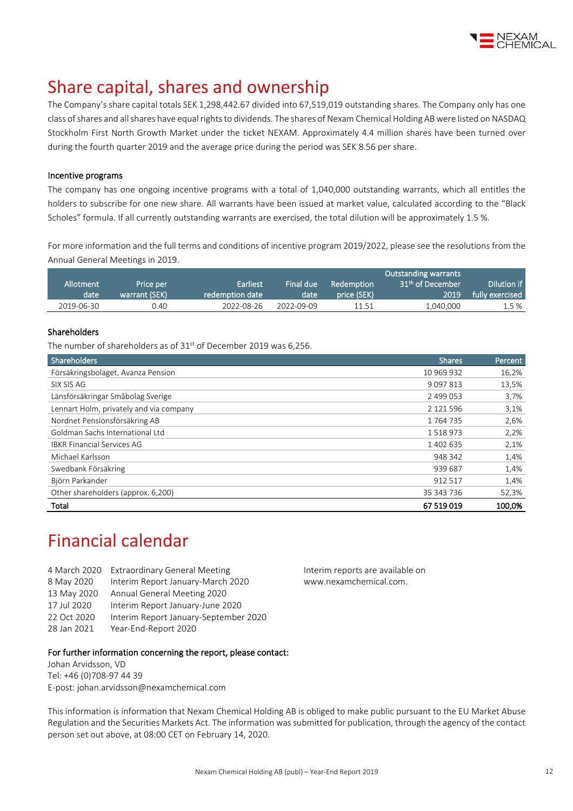

### Share capital, shares and ownership

The Company's share capital totals SEK 1,298,442.67 divided into 67,519,019 outstanding shares. The Company only has one class of shares and all shares have equal rights to dividends. The shares of Nexam Chemical Holding AB were listed on NASDAQ Stockholm First North Growth Market under the ticket NEXAM. Approximately 4.4 million shares have been turned over during the fourth quarter 2019 and the average price during the period was SEK 8.56 per share.

#### Incentive programs

The company has one ongoing incentive programs with a total of 1,040,000 outstanding warrants, which all entitles the holders to subscribe for one new share. All warrants have been issued at market value, calculated according to the "Black Scholes" formula. If all currently outstanding warrants are exercised, the total dilution will be approximately 1.5 %.

For more information and the full terms and conditions of incentive program 2019/2022, please see the resolutions from the Annual General Meetings i[n 2019.](http://www.nexamchemical.com/secure/CMS/?language=en#context=epi.cms.contentdata:///245&viewsetting=active:///true)

|            |               |                 |            |             | <b>Outstanding warrants</b>  |                 |
|------------|---------------|-----------------|------------|-------------|------------------------------|-----------------|
| Allotment  | Price per     | 'Earliest.      | Final due  | Redemption  | 31 <sup>th</sup> of December | Dilution if     |
| date       | warrant (SEK) | redemption date | date       | (Drice (SEK | 2019                         | fully exercised |
| 2019-06-30 | 0.40          | 2022-08-26      | 2022-09-09 | 11.51       | 1,040,000                    | 1.5 %           |

#### Shareholders

The number of shareholders as of 31<sup>st</sup> of December 2019 was 6,256.

| Shareholders                            | <b>Shares</b> | Percent |
|-----------------------------------------|---------------|---------|
| Försäkringsbolaget, Avanza Pension      | 10 969 932    | 16,2%   |
| SIX SIS AG                              | 9 0 9 7 8 1 3 | 13,5%   |
| Länsförsäkringar Småbolag Sverige       | 2 499 053     | 3,7%    |
| Lennart Holm, privately and via company | 2 121 596     | 3,1%    |
| Nordnet Pensionsförsäkring AB           | 1764735       | 2,6%    |
| Goldman Sachs International Ltd         | 1518973       | 2,2%    |
| <b>IBKR Financial Services AG</b>       | 1 402 635     | 2,1%    |
| Michael Karlsson                        | 948 342       | 1,4%    |
| Swedbank Försäkring                     | 939 687       | 1,4%    |
| Björn Parkander                         | 912 517       | 1,4%    |
| Other shareholders (approx. 6,200)      | 35 343 736    | 52,3%   |
| Total                                   | 67 519 019    | 100.0%  |

## Financial calendar

| 4 March 2020 | <b>Extraordinary General Meeting</b>  |
|--------------|---------------------------------------|
| 8 May 2020   | Interim Report January-March 2020     |
| 13 May 2020  | Annual General Meeting 2020           |
| 17 Jul 2020  | Interim Report January-June 2020      |
| 22 Oct 2020  | Interim Report January-September 2020 |
| 28 Jan 2021  | Year-End-Report 2020                  |
|              |                                       |

Interim reports are available on www.nexamchemical.com.

#### For further information concerning the report, please contact:

Johan Arvidsson, VD Tel: +46 (0)708-97 44 39 E-post: johan.arvidsson@nexamchemical.com

This information is information that Nexam Chemical Holding AB is obliged to make public pursuant to the EU Market Abuse Regulation and the Securities Markets Act. The information was submitted for publication, through the agency of the contact person set out above, at 08:00 CET on February 14, 2020.